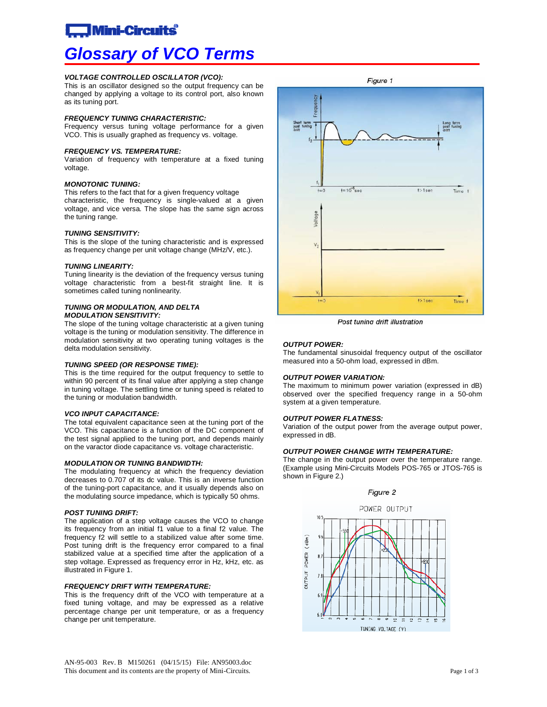## **Mini-Circuits**

# *Glossary of VCO Terms*

#### *VOLTAGE CONTROLLED OSCILLATOR (VCO):*

This is an oscillator designed so the output frequency can be changed by applying a voltage to its control port, also known as its tuning port.

#### *FREQUENCY TUNING CHARACTERISTIC:*

Frequency versus tuning voltage performance for a given VCO. This is usually graphed as frequency vs. voltage.

#### *FREQUENCY VS. TEMPERATURE:*

Variation of frequency with temperature at a fixed tuning voltage.

#### *MONOTONIC TUNING:*

This refers to the fact that for a given frequency voltage characteristic, the frequency is single-valued at a given voltage, and vice versa. The slope has the same sign across the tuning range.

#### *TUNING SENSITIVITY:*

This is the slope of the tuning characteristic and is expressed as frequency change per unit voltage change (MHz/V, etc.).

#### *TUNING LINEARITY:*

Tuning linearity is the deviation of the frequency versus tuning voltage characteristic from a best-fit straight line. It is sometimes called tuning nonlinearity.

#### *TUNING OR MODULATION, AND DELTA MODULATION SENSITIVITY:*

The slope of the tuning voltage characteristic at a given tuning voltage is the tuning or modulation sensitivity. The difference in modulation sensitivity at two operating tuning voltages is the delta modulation sensitivity.

#### *TUNING SPEED (OR RESPONSE TIME):*

This is the time required for the output frequency to settle to within 90 percent of its final value after applying a step change in tuning voltage. The settling time or tuning speed is related to the tuning or modulation bandwidth.

#### *VCO INPUT CAPACITANCE:*

The total equivalent capacitance seen at the tuning port of the VCO. This capacitance is a function of the DC component of the test signal applied to the tuning port, and depends mainly on the varactor diode capacitance vs. voltage characteristic.

#### *MODULATION OR TUNING BANDWIDTH:*

The modulating frequency at which the frequency deviation decreases to 0.707 of its dc value. This is an inverse function of the tuning-port capacitance, and it usually depends also on the modulating source impedance, which is typically 50 ohms.

#### *POST TUNING DRIFT:*

The application of a step voltage causes the VCO to change its frequency from an initial f1 value to a final f2 value. The frequency f2 will settle to a stabilized value after some time. Post tuning drift is the frequency error compared to a final stabilized value at a specified time after the application of a step voltage. Expressed as frequency error in Hz, kHz, etc. as illustrated in Figure 1.

#### *FREQUENCY DRIFT WITH TEMPERATURE:*

This is the frequency drift of the VCO with temperature at a fixed tuning voltage, and may be expressed as a relative percentage change per unit temperature, or as a frequency change per unit temperature.



Post tuning drift illustration

#### *OUTPUT POWER:*

The fundamental sinusoidal frequency output of the oscillator measured into a 50-ohm load, expressed in dBm.

#### *OUTPUT POWER VARIATION:*

The maximum to minimum power variation (expressed in dB) observed over the specified frequency range in a 50-ohm system at a given temperature.

#### *OUTPUT POWER FLATNESS:*

Variation of the output power from the average output power, expressed in dB.

#### *OUTPUT POWER CHANGE WITH TEMPERATURE:*

The change in the output power over the temperature range. (Example using Mini-Circuits Models POS-765 or JTOS-765 is shown in Figure 2.)

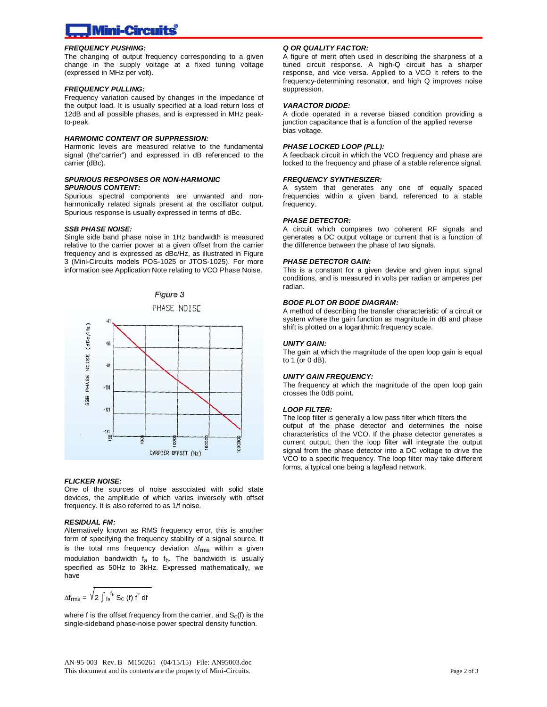#### *FREQUENCY PUSHING:*

The changing of output frequency corresponding to a given change in the supply voltage at a fixed tuning voltage (expressed in MHz per volt).

#### *FREQUENCY PULLING:*

Frequency variation caused by changes in the impedance of the output load. It is usually specified at a load return loss of 12dB and all possible phases, and is expressed in MHz peakto-peak.

#### *HARMONIC CONTENT OR SUPPRESSION:*

Harmonic levels are measured relative to the fundamental signal (the"carrier") and expressed in dB referenced to the carrier (dBc).

#### *SPURIOUS RESPONSES OR NON-HARMONIC SPURIOUS CONTENT:*

Spurious spectral components are unwanted and nonharmonically related signals present at the oscillator output. Spurious response is usually expressed in terms of dBc.

#### *SSB PHASE NOISE:*

Single side band phase noise in 1Hz bandwidth is measured relative to the carrier power at a given offset from the carrier frequency and is expressed as dBc/Hz, as illustrated in Figure 3 (Mini-Circuits models POS-1025 or JTOS-1025). For more information see Application Note relating to VCO Phase Noise.







#### *FLICKER NOISE:*

One of the sources of noise associated with solid state devices, the amplitude of which varies inversely with offset frequency. It is also referred to as 1/f noise.

#### *RESIDUAL FM:*

Alternatively known as RMS frequency error, this is another form of specifying the frequency stability of a signal source. It is the total rms frequency deviation  $\Delta f_{rms}$  within a given modulation bandwidth  $f_a$  to  $f_b$ . The bandwidth is usually specified as 50Hz to 3kHz. Expressed mathematically, we have

$$
\Delta f_{\text{rms}} = \sqrt{2} \int_{\text{fa}}^{\text{f}_b} S_{\text{C}} \text{ (f) } f^2 \text{ df}
$$

where f is the offset frequency from the carrier, and  $S<sub>C</sub>(f)$  is the single-sideband phase-noise power spectral density function.

### *Q OR QUALITY FACTOR:*

A figure of merit often used in describing the sharpness of a tuned circuit response. A high-Q circuit has a sharper response, and vice versa. Applied to a VCO it refers to the frequency-determining resonator, and high Q improves noise suppression.

#### *VARACTOR DIODE:*

A diode operated in a reverse biased condition providing a junction capacitance that is a function of the applied reverse bias voltage.

#### *PHASE LOCKED LOOP (PLL):*

A feedback circuit in which the VCO frequency and phase are locked to the frequency and phase of a stable reference signal.

#### *FREQUENCY SYNTHESIZER:*

A system that generates any one of equally spaced frequencies within a given band, referenced to a stable frequency.

#### *PHASE DETECTOR:*

A circuit which compares two coherent RF signals and generates a DC output voltage or current that is a function of the difference between the phase of two signals.

#### *PHASE DETECTOR GAIN:*

This is a constant for a given device and given input signal conditions, and is measured in volts per radian or amperes per radian.

#### *BODE PLOT OR BODE DIAGRAM:*

A method of describing the transfer characteristic of a circuit or system where the gain function as magnitude in dB and phase shift is plotted on a logarithmic frequency scale.

#### *UNITY GAIN:*

The gain at which the magnitude of the open loop gain is equal to 1 (or 0 dB).

#### *UNITY GAIN FREQUENCY:*

The frequency at which the magnitude of the open loop gain crosses the 0dB point.

#### *LOOP FILTER:*

The loop filter is generally a low pass filter which filters the output of the phase detector and determines the noise characteristics of the VCO. If the phase detector generates a current output, then the loop filter will integrate the output signal from the phase detector into a DC voltage to drive the VCO to a specific frequency. The loop filter may take different forms, a typical one being a lag/lead network.